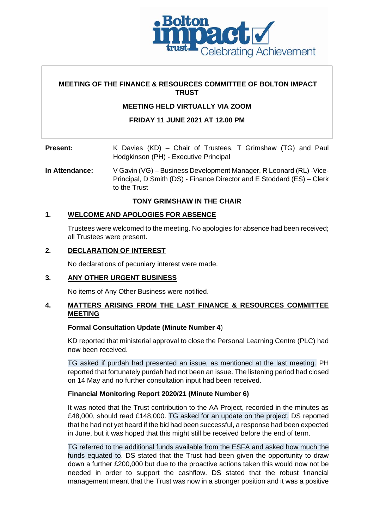

### **MEETING OF THE FINANCE & RESOURCES COMMITTEE OF BOLTON IMPACT TRUST**

### **MEETING HELD VIRTUALLY VIA ZOOM**

### **FRIDAY 11 JUNE 2021 AT 12.00 PM**

| <b>Present:</b> | K Davies (KD) – Chair of Trustees, T Grimshaw (TG) and Paul |  |  |  |  |  |  |  |
|-----------------|-------------------------------------------------------------|--|--|--|--|--|--|--|
|                 | Hodgkinson (PH) - Executive Principal                       |  |  |  |  |  |  |  |

**In Attendance:** V Gavin (VG) – Business Development Manager, R Leonard (RL) -Vice-Principal, D Smith (DS) - Finance Director and E Stoddard (ES) – Clerk to the Trust

**TONY GRIMSHAW IN THE CHAIR**

### **1. WELCOME AND APOLOGIES FOR ABSENCE**

Trustees were welcomed to the meeting. No apologies for absence had been received; all Trustees were present.

### **2. DECLARATION OF INTEREST**

No declarations of pecuniary interest were made.

## **3. ANY OTHER URGENT BUSINESS**

No items of Any Other Business were notified.

### **4. MATTERS ARISING FROM THE LAST FINANCE & RESOURCES COMMITTEE MEETING**

### **Formal Consultation Update (Minute Number 4**)

KD reported that ministerial approval to close the Personal Learning Centre (PLC) had now been received.

TG asked if purdah had presented an issue, as mentioned at the last meeting. PH reported that fortunately purdah had not been an issue. The listening period had closed on 14 May and no further consultation input had been received.

### **Financial Monitoring Report 2020/21 (Minute Number 6)**

It was noted that the Trust contribution to the AA Project, recorded in the minutes as £48,000, should read £148,000. TG asked for an update on the project. DS reported that he had not yet heard if the bid had been successful, a response had been expected in June, but it was hoped that this might still be received before the end of term.

TG referred to the additional funds available from the ESFA and asked how much the funds equated to. DS stated that the Trust had been given the opportunity to draw down a further £200,000 but due to the proactive actions taken this would now not be needed in order to support the cashflow. DS stated that the robust financial management meant that the Trust was now in a stronger position and it was a positive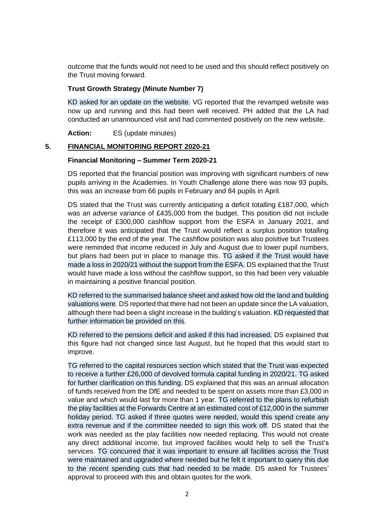outcome that the funds would not need to be used and this should reflect positively on the Trust moving forward.

#### **Trust Growth Strategy (Minute Number 7)**

KD asked for an update on the website. VG reported that the revamped website was now up and running and this had been well received. PH added that the LA had conducted an unannounced visit and had commented positively on the new website.

**Action:** ES (update minutes)

### **5. FINANCIAL MONITORING REPORT 2020-21**

#### **Financial Monitoring – Summer Term 2020-21**

DS reported that the financial position was improving with significant numbers of new pupils arriving in the Academies. In Youth Challenge alone there was now 93 pupils, this was an increase from 66 pupils in February and 84 pupils in April.

DS stated that the Trust was currently anticipating a deficit totalling £187,000, which was an adverse variance of £435,000 from the budget. This position did not include the receipt of £300,000 cashflow support from the ESFA in January 2021, and therefore it was anticipated that the Trust would reflect a surplus position totalling £113,000 by the end of the year. The cashflow position was also positive but Trustees were reminded that income reduced in July and August due to lower pupil numbers, but plans had been put in place to manage this. TG asked if the Trust would have made a loss in 2020/21 without the support from the ESFA. DS explained that the Trust would have made a loss without the cashflow support, so this had been very valuable in maintaining a positive financial position.

KD referred to the summarised balance sheet and asked how old the land and building valuations were. DS reported that there had not been an update since the LA valuation, although there had been a slight increase in the building's valuation. KD requested that further information be provided on this.

KD referred to the pensions deficit and asked if this had increased. DS explained that this figure had not changed since last August, but he hoped that this would start to improve.

TG referred to the capital resources section which stated that the Trust was expected to receive a further £26,000 of devolved formula capital funding in 2020/21. TG asked for further clarification on this funding. DS explained that this was an annual allocation of funds received from the DfE and needed to be spent on assets more than £3,000 in value and which would last for more than 1 year. TG referred to the plans to refurbish the play facilities at the Forwards Centre at an estimated cost of £12,000 in the summer holiday period. TG asked if three quotes were needed, would this spend create any extra revenue and if the committee needed to sign this work off. DS stated that the work was needed as the play facilities now needed replacing. This would not create any direct additional income, but improved facilities would help to sell the Trust's services. TG concurred that it was important to ensure all facilities across the Trust were maintained and upgraded where needed but he felt it important to query this due to the recent spending cuts that had needed to be made. DS asked for Trustees' approval to proceed with this and obtain quotes for the work.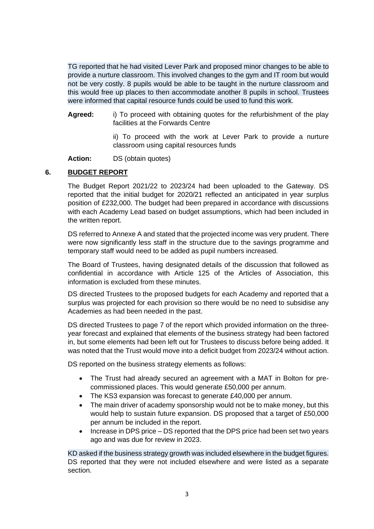TG reported that he had visited Lever Park and proposed minor changes to be able to provide a nurture classroom. This involved changes to the gym and IT room but would not be very costly. 8 pupils would be able to be taught in the nurture classroom and this would free up places to then accommodate another 8 pupils in school. Trustees were informed that capital resource funds could be used to fund this work.

**Agreed:** i) To proceed with obtaining quotes for the refurbishment of the play facilities at the Forwards Centre

> ii) To proceed with the work at Lever Park to provide a nurture classroom using capital resources funds

**Action:** DS (obtain quotes)

### **6. BUDGET REPORT**

The Budget Report 2021/22 to 2023/24 had been uploaded to the Gateway. DS reported that the initial budget for 2020/21 reflected an anticipated in year surplus position of £232,000. The budget had been prepared in accordance with discussions with each Academy Lead based on budget assumptions, which had been included in the written report.

DS referred to Annexe A and stated that the projected income was very prudent. There were now significantly less staff in the structure due to the savings programme and temporary staff would need to be added as pupil numbers increased.

The Board of Trustees, having designated details of the discussion that followed as confidential in accordance with Article 125 of the Articles of Association, this information is excluded from these minutes.

DS directed Trustees to the proposed budgets for each Academy and reported that a surplus was projected for each provision so there would be no need to subsidise any Academies as had been needed in the past.

DS directed Trustees to page 7 of the report which provided information on the threeyear forecast and explained that elements of the business strategy had been factored in, but some elements had been left out for Trustees to discuss before being added. It was noted that the Trust would move into a deficit budget from 2023/24 without action.

DS reported on the business strategy elements as follows:

- The Trust had already secured an agreement with a MAT in Bolton for precommissioned places. This would generate £50,000 per annum.
- The KS3 expansion was forecast to generate £40,000 per annum.
- The main driver of academy sponsorship would not be to make money, but this would help to sustain future expansion. DS proposed that a target of £50,000 per annum be included in the report.
- Increase in DPS price DS reported that the DPS price had been set two years ago and was due for review in 2023.

KD asked if the business strategy growth was included elsewhere in the budget figures. DS reported that they were not included elsewhere and were listed as a separate section.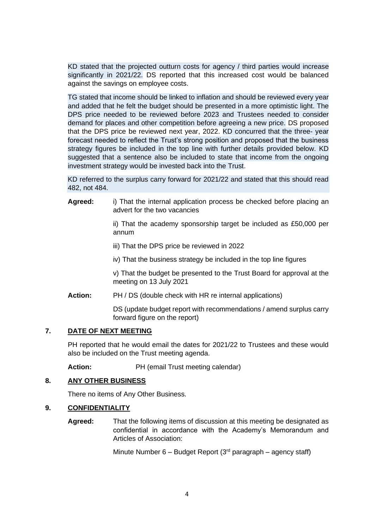KD stated that the projected outturn costs for agency / third parties would increase significantly in 2021/22. DS reported that this increased cost would be balanced against the savings on employee costs.

TG stated that income should be linked to inflation and should be reviewed every year and added that he felt the budget should be presented in a more optimistic light. The DPS price needed to be reviewed before 2023 and Trustees needed to consider demand for places and other competition before agreeing a new price. DS proposed that the DPS price be reviewed next year, 2022. KD concurred that the three- year forecast needed to reflect the Trust's strong position and proposed that the business strategy figures be included in the top line with further details provided below. KD suggested that a sentence also be included to state that income from the ongoing investment strategy would be invested back into the Trust.

KD referred to the surplus carry forward for 2021/22 and stated that this should read 482, not 484.

**Agreed:** i) That the internal application process be checked before placing an advert for the two vacancies

> ii) That the academy sponsorship target be included as £50,000 per annum

- iii) That the DPS price be reviewed in 2022
- iv) That the business strategy be included in the top line figures

v) That the budget be presented to the Trust Board for approval at the meeting on 13 July 2021

**Action:** PH / DS (double check with HR re internal applications)

DS (update budget report with recommendations / amend surplus carry forward figure on the report)

### **7. DATE OF NEXT MEETING**

PH reported that he would email the dates for 2021/22 to Trustees and these would also be included on the Trust meeting agenda.

Action: PH (email Trust meeting calendar)

#### **8. ANY OTHER BUSINESS**

There no items of Any Other Business.

### **9. CONFIDENTIALITY**

**Agreed:** That the following items of discussion at this meeting be designated as confidential in accordance with the Academy's Memorandum and Articles of Association:

Minute Number  $6 -$  Budget Report (3<sup>rd</sup> paragraph – agency staff)